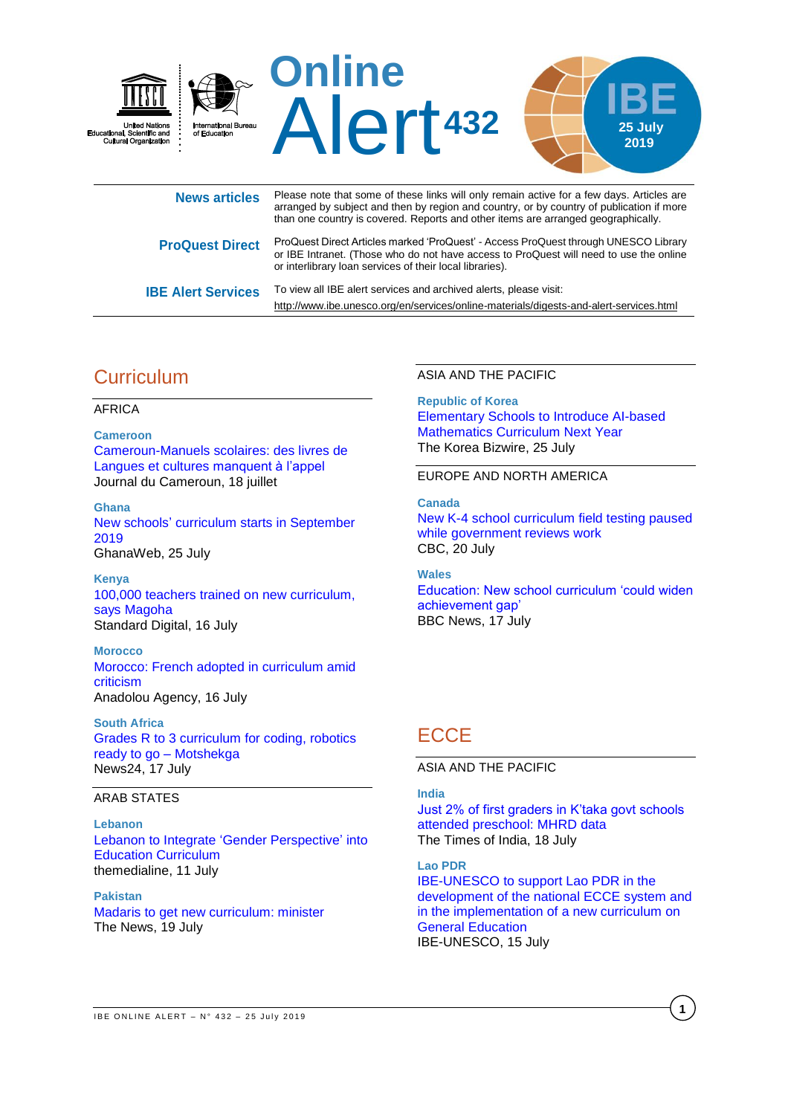

| News articles             | $\frac{1}{2}$ in the complete the control of the complete that $\frac{1}{2}$ is the control of the control of $\frac{1}{2}$ in the control of $\frac{1}{2}$<br>arranged by subject and then by region and country, or by country of publication if more<br>than one country is covered. Reports and other items are arranged geographically. |
|---------------------------|----------------------------------------------------------------------------------------------------------------------------------------------------------------------------------------------------------------------------------------------------------------------------------------------------------------------------------------------|
| <b>ProQuest Direct</b>    | ProQuest Direct Articles marked 'ProQuest' - Access ProQuest through UNESCO Library<br>or IBE Intranet. (Those who do not have access to ProQuest will need to use the online<br>or interlibrary loan services of their local libraries).                                                                                                    |
| <b>IBE Alert Services</b> | To view all IBE alert services and archived alerts, please visit:<br>http://www.ibe.unesco.org/en/services/online-materials/digests-and-alert-services.html                                                                                                                                                                                  |

# **Curriculum**

#### AFRICA

**Cameroon** [Cameroun-Manuels scolaires: des livres de](https://www.journalducameroun.com/cameroun-manuels-scolaires-des-livres-de-langues-et-cultures-manquent-a-lappel/)  [Langues et cultures](https://www.journalducameroun.com/cameroun-manuels-scolaires-des-livres-de-langues-et-cultures-manquent-a-lappel/) manquent à l'appel Journal du Cameroun, 18 juillet

**Ghana** New schools' [curriculum starts in September](https://www.ghanaweb.com/GhanaHomePage/NewsArchive/New-schools-curriculum-starts-in-September-2019-766446)  [2019](https://www.ghanaweb.com/GhanaHomePage/NewsArchive/New-schools-curriculum-starts-in-September-2019-766446) GhanaWeb, 25 July

**Kenya** [100,000 teachers trained on new curriculum,](https://www.standardmedia.co.ke/article/2001334044/100-000-teachers-trained-on-new-curriculum-says-magoha)  [says Magoha](https://www.standardmedia.co.ke/article/2001334044/100-000-teachers-trained-on-new-curriculum-says-magoha) Standard Digital, 16 July

**Morocco** [Morocco: French adopted in curriculum amid](https://www.aa.com.tr/en/africa/morocco-french-adopted-in-curriculum-amid-criticism/1533527)  [criticism](https://www.aa.com.tr/en/africa/morocco-french-adopted-in-curriculum-amid-criticism/1533527) Anadolou Agency, 16 July

**South Africa** [Grades R to 3 curriculum for coding, robotics](https://www.news24.com/SouthAfrica/News/grades-r-to-3-curriculum-for-coding-robotics-ready-to-go-motshekga-20190717)  [ready to go –](https://www.news24.com/SouthAfrica/News/grades-r-to-3-curriculum-for-coding-robotics-ready-to-go-motshekga-20190717) Motshekga News24, 17 July

### ARAB STATES

**Lebanon** [Lebanon to Integrate 'Gender Perspective'](https://themedialine.org/top-stories/lebanon-to-integrate-gender-perspective-into-education-curriculum/) into [Education Curriculum](https://themedialine.org/top-stories/lebanon-to-integrate-gender-perspective-into-education-curriculum/) themedialine, 11 July

**Pakistan** [Madaris to get new curriculum: minister](https://www.thenews.com.pk/print/500317-madaris-to-get-new-curriculum-minister) The News, 19 July

ASIA AND THE PACIFIC

**Republic of Korea** [Elementary Schools to Introduce AI-based](http://koreabizwire.com/elementary-schools-to-introduce-ai-based-mathematics-curriculum-next-year/141284)  [Mathematics Curriculum Next Year](http://koreabizwire.com/elementary-schools-to-introduce-ai-based-mathematics-curriculum-next-year/141284) The Korea Bizwire, 25 July

#### EUROPE AND NORTH AMERICA

**Canada**

[New K-4 school curriculum field testing paused](https://www.cbc.ca/news/canada/edmonton/alberta-curriculum-education-minister-adriana-lagrange-1.5216736)  [while government reviews work](https://www.cbc.ca/news/canada/edmonton/alberta-curriculum-education-minister-adriana-lagrange-1.5216736) CBC, 20 July

**Wales** [Education: New school curriculum 'could widen](https://www.bbc.com/news/uk-wales-48990010)  [achievement gap'](https://www.bbc.com/news/uk-wales-48990010) BBC News, 17 July

# **ECCE**

ASIA AND THE PACIFIC

#### **India**

[Just 2% of first graders in K'taka govt schools](https://timesofindia.indiatimes.com/city/bengaluru/just-2-of-first-graders-in-ktaka-govt-schools-attended-preschool-mhrd-data/articleshow/70267674.cms)  [attended preschool: MHRD data](https://timesofindia.indiatimes.com/city/bengaluru/just-2-of-first-graders-in-ktaka-govt-schools-attended-preschool-mhrd-data/articleshow/70267674.cms) The Times of India, 18 July

**Lao PDR**

[IBE-UNESCO to support Lao PDR in the](http://www.ibe.unesco.org/en/news/ibe-unesco-support-lao-pdr-development-national-ecce-system-and-implementation-new-curriculum)  [development of the national ECCE system and](http://www.ibe.unesco.org/en/news/ibe-unesco-support-lao-pdr-development-national-ecce-system-and-implementation-new-curriculum)  [in the implementation of a new curriculum on](http://www.ibe.unesco.org/en/news/ibe-unesco-support-lao-pdr-development-national-ecce-system-and-implementation-new-curriculum)  [General Education](http://www.ibe.unesco.org/en/news/ibe-unesco-support-lao-pdr-development-national-ecce-system-and-implementation-new-curriculum) IBE-UNESCO, 15 July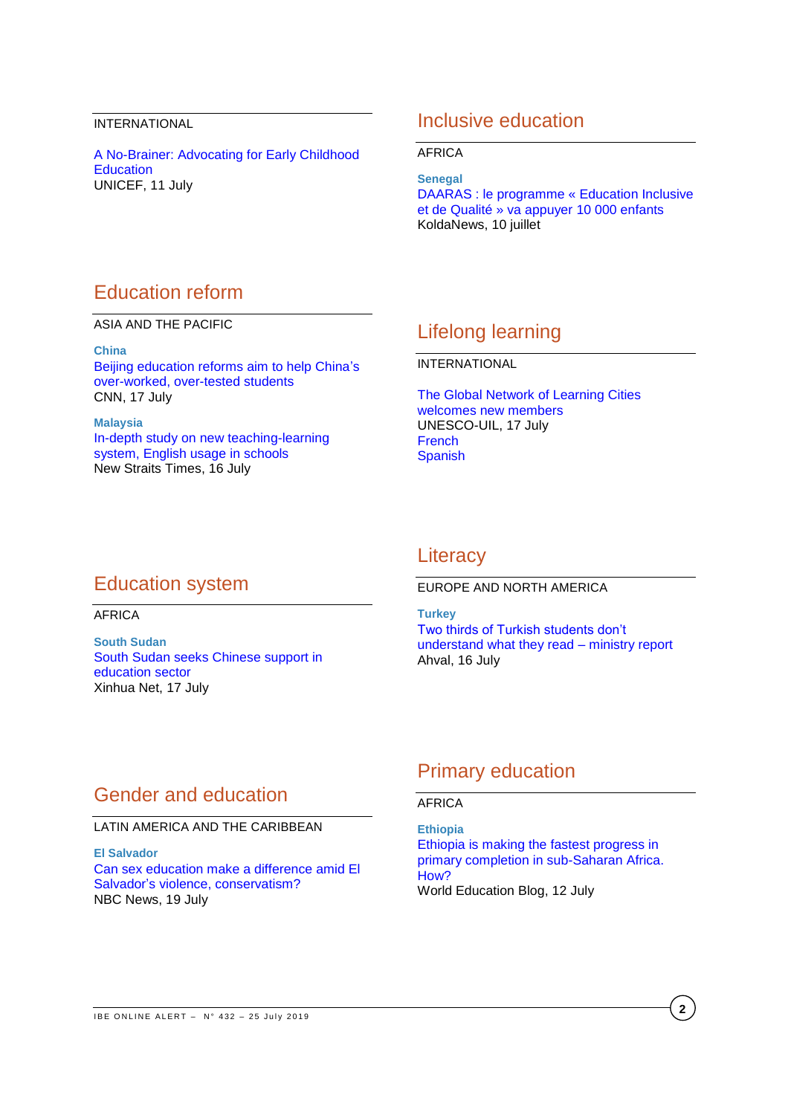#### INTERNATIONAL

A [No-Brainer: Advocating for Early Childhood](https://www.unicefusa.org/stories/no-brainer-advocating-early-childhood-education/36140)  **[Education](https://www.unicefusa.org/stories/no-brainer-advocating-early-childhood-education/36140)** UNICEF, 11 July

### Inclusive education

AFRICA

**Senegal** [DAARAS : le programme «](https://www.koldanews.com/2019/07/10/daaras-le-programme-education-inclusive-et-de-qualite-va-appuyer-10-000-enfants-a998114.html) Education Inclusive et de Qualité [» va appuyer 10 000 enfants](https://www.koldanews.com/2019/07/10/daaras-le-programme-education-inclusive-et-de-qualite-va-appuyer-10-000-enfants-a998114.html) KoldaNews, 10 juillet

# Education reform

ASIA AND THE PACIFIC

**China**

[Beijing education reforms aim to help China's](https://edition.cnn.com/2019/07/16/asia/china-education-reform-intl-hnk/index.html)  [over-worked, over-tested students](https://edition.cnn.com/2019/07/16/asia/china-education-reform-intl-hnk/index.html) CNN, 17 July

**Malaysia** [In-depth study on new teaching-learning](https://www.nst.com.my/news/nation/2019/07/504698/depth-study-new-teaching-learning-system-english-usage-schools)  [system, English usage in schools](https://www.nst.com.my/news/nation/2019/07/504698/depth-study-new-teaching-learning-system-english-usage-schools) New Straits Times, 16 July

## Lifelong learning

INTERNATIONAL

The [Global Network of Learning Cities](http://uil.unesco.org/lifelong-learning/learning-cities/global-network-learning-cities-welcomes-new-members?fbclid=IwAR148lKQ3mbv5I9OKI6VIuSNi8Oon9e969ZJVqa6rcQM6bpuYMkWC1wLXeg)  [welcomes new members](http://uil.unesco.org/lifelong-learning/learning-cities/global-network-learning-cities-welcomes-new-members?fbclid=IwAR148lKQ3mbv5I9OKI6VIuSNi8Oon9e969ZJVqa6rcQM6bpuYMkWC1wLXeg) UNESCO-UIL, 17 July **[French](http://uil.unesco.org/fr/apprendre-au-long-vie/villes-apprenantes/reseau-mondial-unesco-villes-apprenantes-accueille-nouveaux)** [Spanish](http://uil.unesco.org/es/aprendizaje-lo-largo-vida/ciudades-aprendizaje/red-mundial-ciudades-del-aprendizaje-da-bienvenida)

### Education system

AFRICA

**South Sudan** [South Sudan seeks Chinese support in](http://www.xinhuanet.com/english/2019-07/17/c_138235104.htm)  [education sector](http://www.xinhuanet.com/english/2019-07/17/c_138235104.htm) Xinhua Net, 17 July

### **Literacy**

EUROPE AND NORTH AMERICA

**Turkey** [Two thirds of Turkish students don't](https://ahvalnews.com/education/two-thirds-turkish-students-dont-understand-what-they-read-ministry-report)  [understand what they read –](https://ahvalnews.com/education/two-thirds-turkish-students-dont-understand-what-they-read-ministry-report) ministry report Ahval, 16 July

### Gender and education

LATIN AMERICA AND THE CARIBBEAN

**El Salvador** [Can sex education make a difference amid El](https://www.nbcnews.com/news/latino/can-sex-education-make-difference-amid-el-salvador-s-violence-n1026201)  [Salvador's violence, conservatism?](https://www.nbcnews.com/news/latino/can-sex-education-make-difference-amid-el-salvador-s-violence-n1026201) NBC News, 19 July

# Primary education

#### AFRICA

**Ethiopia** [Ethiopia is making the fastest progress in](https://gemreportunesco.wordpress.com/2019/07/12/ethiopia-is-making-the-fastest-progress-in-primary-completion-in-sub-saharan-africa-how/)  [primary completion in sub-Saharan Africa.](https://gemreportunesco.wordpress.com/2019/07/12/ethiopia-is-making-the-fastest-progress-in-primary-completion-in-sub-saharan-africa-how/)  [How?](https://gemreportunesco.wordpress.com/2019/07/12/ethiopia-is-making-the-fastest-progress-in-primary-completion-in-sub-saharan-africa-how/) World Education Blog, 12 July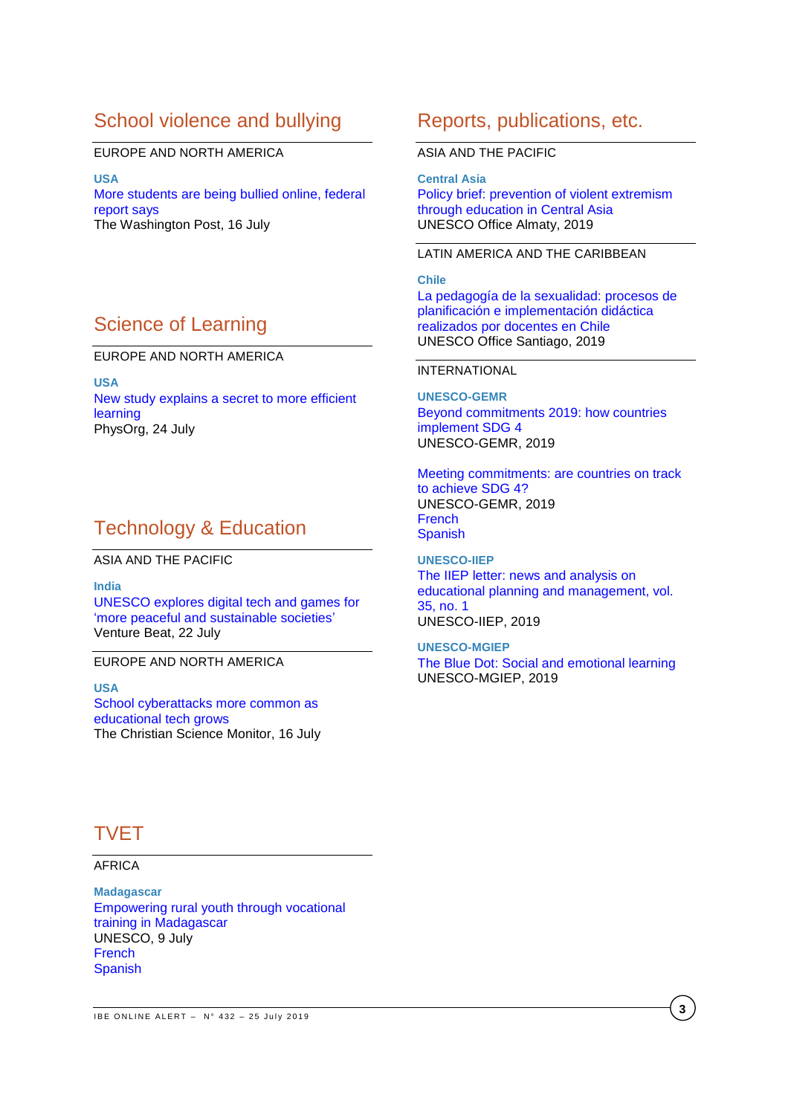# School violence and bullying

#### EUROPE AND NORTH AMERICA

**USA** [More students are being bullied online, federal](https://www.washingtonpost.com/local/education/more-students-are-being-bullied-online-federal-report-says/2019/07/15/0f19f7d0-a71d-11e9-9214-246e594de5d5_story.html?utm_term=.63c2c8198f83&wpisrc=nl_sb_smartbrief)  [report says](https://www.washingtonpost.com/local/education/more-students-are-being-bullied-online-federal-report-says/2019/07/15/0f19f7d0-a71d-11e9-9214-246e594de5d5_story.html?utm_term=.63c2c8198f83&wpisrc=nl_sb_smartbrief) The Washington Post, 16 July

# Science of Learning

### EUROPE AND NORTH AMERICA

**USA** [New study explains a secret to more efficient](https://phys.org/news/2019-07-secret-efficient.html)  [learning](https://phys.org/news/2019-07-secret-efficient.html) PhysOrg, 24 July

## Technology & Education

ASIA AND THE PACIFIC

**India** [UNESCO explores digital tech and games for](https://venturebeat.com/2019/07/22/unesco-explores-digital-technologies-for-more-peaceful-and-sustainable-societies/)  ['more peaceful and sustainable societies'](https://venturebeat.com/2019/07/22/unesco-explores-digital-technologies-for-more-peaceful-and-sustainable-societies/) Venture Beat, 22 July

#### EUROPE AND NORTH AMERICA

**USA** School [cyberattacks more common as](https://www.csmonitor.com/USA/Education/2019/0716/School-cyberattacks-more-common-as-educational-tech-grows)  [educational tech grows](https://www.csmonitor.com/USA/Education/2019/0716/School-cyberattacks-more-common-as-educational-tech-grows) The Christian Science Monitor, 16 July

### Reports, publications, etc.

#### ASIA AND THE PACIFIC

**Central Asia** Policy [brief: prevention of violent extremism](https://unesdoc.unesco.org/ark:/48223/pf0000369242)  [through education in Central Asia](https://unesdoc.unesco.org/ark:/48223/pf0000369242) UNESCO Office Almaty, 2019

### LATIN AMERICA AND THE CARIBBEAN

**Chile** [La pedagogía de la sexualidad: procesos de](https://unesdoc.unesco.org/ark:/48223/pf0000369032?posInSet=26&queryId=N-84b6e118-92e9-4667-9db9-555b5db993db)  [planificación e implementación didáctica](https://unesdoc.unesco.org/ark:/48223/pf0000369032?posInSet=26&queryId=N-84b6e118-92e9-4667-9db9-555b5db993db)  [realizados por docentes en Chile](https://unesdoc.unesco.org/ark:/48223/pf0000369032?posInSet=26&queryId=N-84b6e118-92e9-4667-9db9-555b5db993db) UNESCO Office Santiago, 2019

#### INTERNATIONAL

**UNESCO-GEMR** [Beyond commitments 2019: how countries](https://unesdoc.unesco.org/ark:/48223/pf0000369008)  [implement SDG 4](https://unesdoc.unesco.org/ark:/48223/pf0000369008) UNESCO-GEMR, 2019

[Meeting commitments: are countries on track](https://unesdoc.unesco.org/ark:/48223/pf0000369009)  [to achieve SDG 4?](https://unesdoc.unesco.org/ark:/48223/pf0000369009) UNESCO-GEMR, 2019 [French](https://unesdoc.unesco.org/ark:/48223/pf0000369009_fre) [Spanish](https://unesdoc.unesco.org/ark:/48223/pf0000369009_spa)

**UNESCO-IIEP** [The IIEP letter: news and analysis on](https://unesdoc.unesco.org/ark:/48223/pf0000369019?posInSet=18&queryId=N-84b6e118-92e9-4667-9db9-555b5db993db)  [educational planning and management, vol.](https://unesdoc.unesco.org/ark:/48223/pf0000369019?posInSet=18&queryId=N-84b6e118-92e9-4667-9db9-555b5db993db)  [35, no. 1](https://unesdoc.unesco.org/ark:/48223/pf0000369019?posInSet=18&queryId=N-84b6e118-92e9-4667-9db9-555b5db993db) UNESCO-IIEP, 2019

#### **UNESCO-MGIEP**

The Blue Dot: Social [and emotional learning](https://unesdoc.unesco.org/ark:/48223/pf0000369079) UNESCO-MGIEP, 2019

# TVET

### AFRICA

**Madagascar** [Empowering rural youth through vocational](https://en.unesco.org/news/empowering-rural-youth-through-vocational-training-madagascar)  [training in Madagascar](https://en.unesco.org/news/empowering-rural-youth-through-vocational-training-madagascar) UNESCO, 9 July **[French](https://fr.unesco.org/news/autonomiser-jeunesse-rurale-grace-formation-professionnelle-au-madagascar) [Spanish](https://es.unesco.org/news/empoderar-jovenes-regiones-rurales-gracias-formacion-profesional-madagascar)**